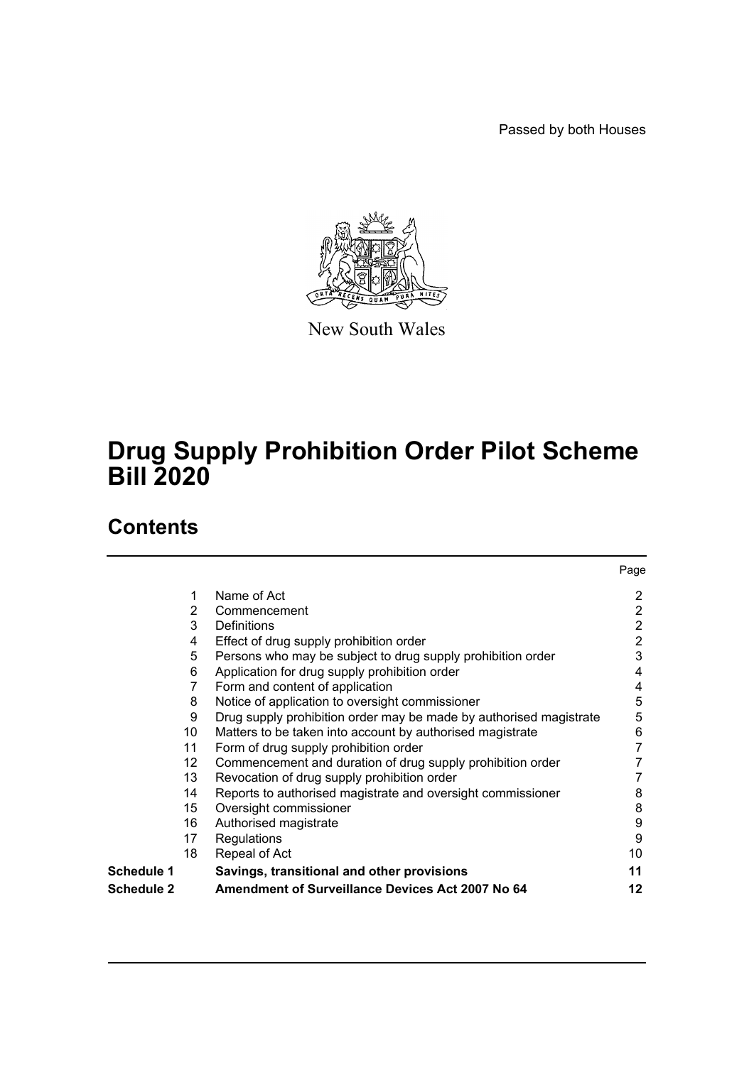Passed by both Houses



New South Wales

## **Drug Supply Prohibition Order Pilot Scheme Bill 2020**

## **Contents**

|            |    |                                                                    | Page           |
|------------|----|--------------------------------------------------------------------|----------------|
|            | 1  | Name of Act                                                        | 2              |
|            | 2  | Commencement                                                       | 2              |
|            | 3  | Definitions                                                        | 2              |
|            | 4  | Effect of drug supply prohibition order                            | $\overline{2}$ |
|            | 5  | Persons who may be subject to drug supply prohibition order        | 3              |
|            | 6  | Application for drug supply prohibition order                      | 4              |
|            | 7  | Form and content of application                                    | 4              |
|            | 8  | Notice of application to oversight commissioner                    | 5              |
|            | 9  | Drug supply prohibition order may be made by authorised magistrate | 5              |
|            | 10 | Matters to be taken into account by authorised magistrate          | 6              |
|            | 11 | Form of drug supply prohibition order                              | 7              |
|            | 12 | Commencement and duration of drug supply prohibition order         |                |
|            | 13 | Revocation of drug supply prohibition order                        |                |
|            | 14 | Reports to authorised magistrate and oversight commissioner        | 8              |
|            | 15 | Oversight commissioner                                             | 8              |
|            | 16 | Authorised magistrate                                              | 9              |
|            | 17 | Regulations                                                        | 9              |
|            | 18 | Repeal of Act                                                      | 10             |
| Schedule 1 |    | Savings, transitional and other provisions                         | 11             |
| Schedule 2 |    | <b>Amendment of Surveillance Devices Act 2007 No 64</b>            | 12             |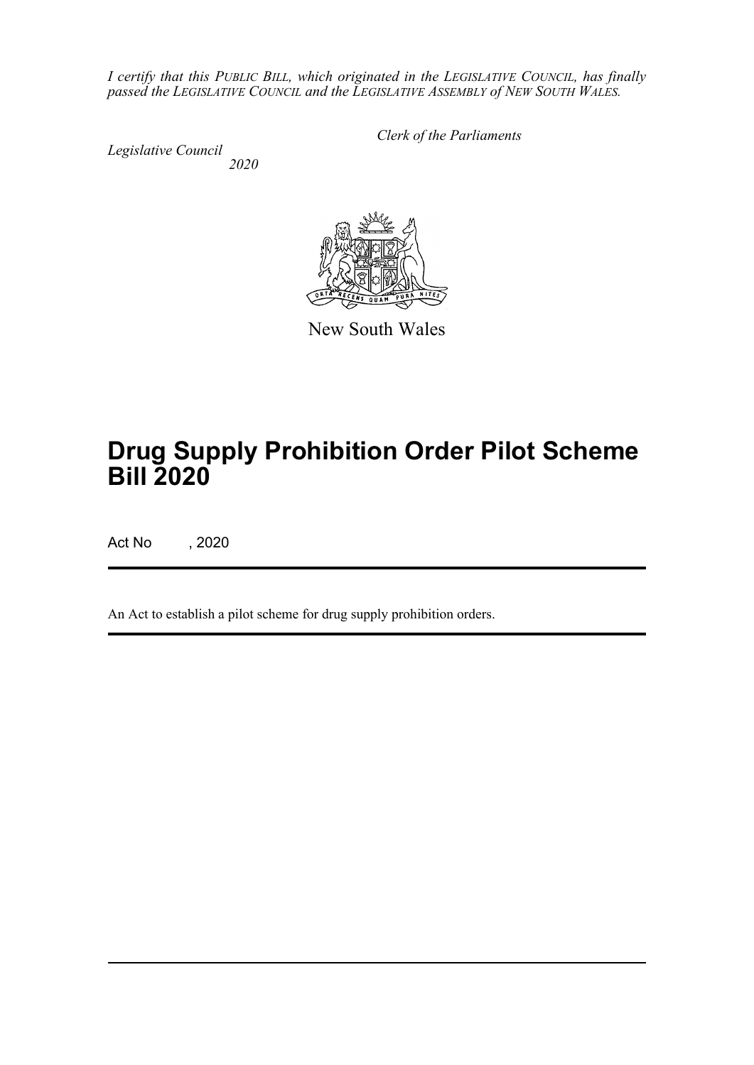*I certify that this PUBLIC BILL, which originated in the LEGISLATIVE COUNCIL, has finally passed the LEGISLATIVE COUNCIL and the LEGISLATIVE ASSEMBLY of NEW SOUTH WALES.*

*Legislative Council*

*Clerk of the Parliaments*

 *2020*



New South Wales

# **Drug Supply Prohibition Order Pilot Scheme Bill 2020**

Act No , 2020

An Act to establish a pilot scheme for drug supply prohibition orders.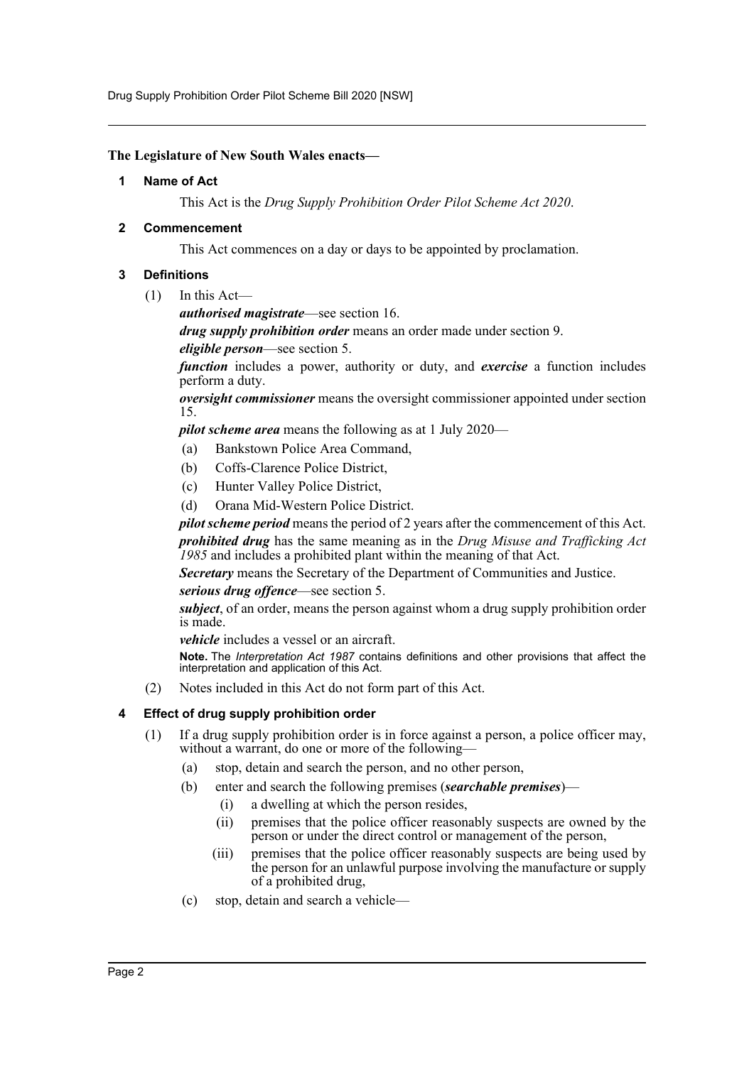Drug Supply Prohibition Order Pilot Scheme Bill 2020 [NSW]

#### <span id="page-2-0"></span>**The Legislature of New South Wales enacts—**

#### **1 Name of Act**

This Act is the *Drug Supply Prohibition Order Pilot Scheme Act 2020*.

#### <span id="page-2-1"></span>**2 Commencement**

This Act commences on a day or days to be appointed by proclamation.

#### <span id="page-2-2"></span>**3 Definitions**

(1) In this Act—

*authorised magistrate*—see section 16.

*drug supply prohibition order* means an order made under section 9.

*eligible person*—see section 5.

*function* includes a power, authority or duty, and *exercise* a function includes perform a duty.

*oversight commissioner* means the oversight commissioner appointed under section 15.

*pilot scheme area* means the following as at 1 July 2020—

- (a) Bankstown Police Area Command,
- (b) Coffs-Clarence Police District,
- (c) Hunter Valley Police District,
- (d) Orana Mid-Western Police District.

*pilot scheme period* means the period of 2 years after the commencement of this Act. *prohibited drug* has the same meaning as in the *Drug Misuse and Trafficking Act 1985* and includes a prohibited plant within the meaning of that Act.

*Secretary* means the Secretary of the Department of Communities and Justice. *serious drug offence*—see section 5.

*subject*, of an order, means the person against whom a drug supply prohibition order is made.

*vehicle* includes a vessel or an aircraft.

**Note.** The *Interpretation Act 1987* contains definitions and other provisions that affect the interpretation and application of this Act.

(2) Notes included in this Act do not form part of this Act.

#### <span id="page-2-3"></span>**4 Effect of drug supply prohibition order**

- (1) If a drug supply prohibition order is in force against a person, a police officer may, without a warrant, do one or more of the following-
	- (a) stop, detain and search the person, and no other person,
	- (b) enter and search the following premises (*searchable premises*)—
		- (i) a dwelling at which the person resides,
		- (ii) premises that the police officer reasonably suspects are owned by the person or under the direct control or management of the person,
		- (iii) premises that the police officer reasonably suspects are being used by the person for an unlawful purpose involving the manufacture or supply of a prohibited drug,
	- (c) stop, detain and search a vehicle—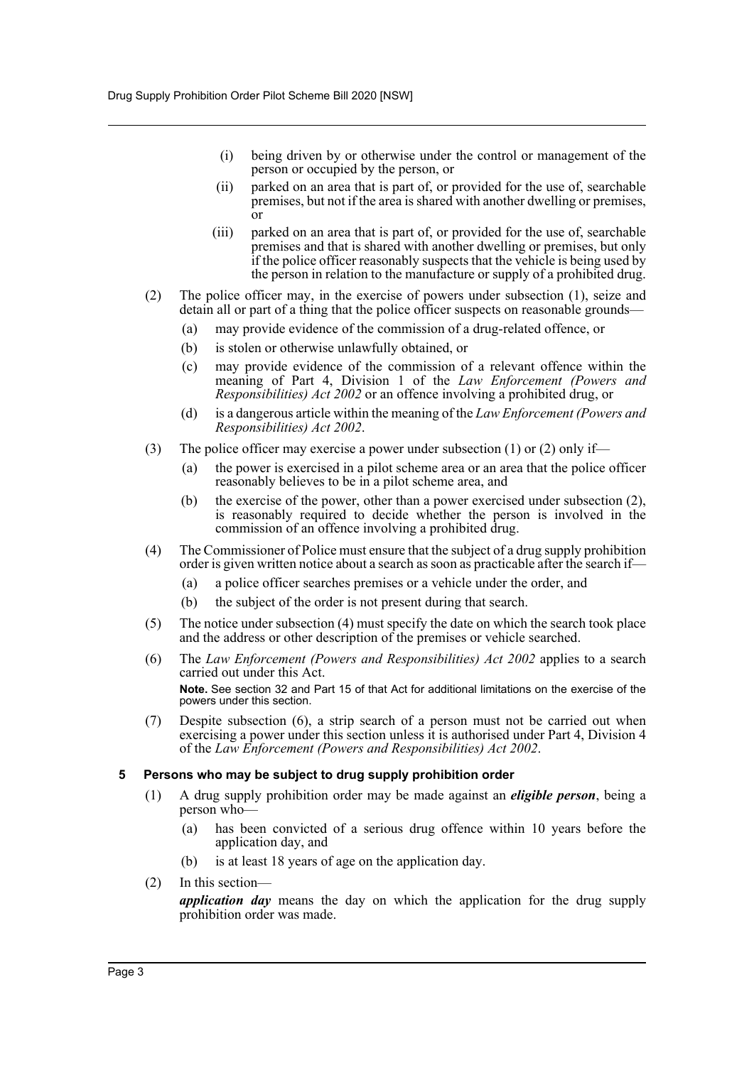- (i) being driven by or otherwise under the control or management of the person or occupied by the person, or
- (ii) parked on an area that is part of, or provided for the use of, searchable premises, but not if the area is shared with another dwelling or premises, or
- (iii) parked on an area that is part of, or provided for the use of, searchable premises and that is shared with another dwelling or premises, but only if the police officer reasonably suspects that the vehicle is being used by the person in relation to the manufacture or supply of a prohibited drug.
- (2) The police officer may, in the exercise of powers under subsection (1), seize and detain all or part of a thing that the police officer suspects on reasonable grounds—
	- (a) may provide evidence of the commission of a drug-related offence, or
	- (b) is stolen or otherwise unlawfully obtained, or
	- (c) may provide evidence of the commission of a relevant offence within the meaning of Part 4, Division 1 of the *Law Enforcement (Powers and Responsibilities) Act 2002* or an offence involving a prohibited drug, or
	- (d) is a dangerous article within the meaning of the *Law Enforcement (Powers and Responsibilities) Act 2002*.
- (3) The police officer may exercise a power under subsection (1) or (2) only if—
	- (a) the power is exercised in a pilot scheme area or an area that the police officer reasonably believes to be in a pilot scheme area, and
	- (b) the exercise of the power, other than a power exercised under subsection (2), is reasonably required to decide whether the person is involved in the commission of an offence involving a prohibited drug.
- (4) The Commissioner of Police must ensure that the subject of a drug supply prohibition order is given written notice about a search as soon as practicable after the search if—
	- (a) a police officer searches premises or a vehicle under the order, and
	- (b) the subject of the order is not present during that search.
- (5) The notice under subsection (4) must specify the date on which the search took place and the address or other description of the premises or vehicle searched.
- (6) The *Law Enforcement (Powers and Responsibilities) Act 2002* applies to a search carried out under this Act. **Note.** See section 32 and Part 15 of that Act for additional limitations on the exercise of the powers under this section.
- (7) Despite subsection (6), a strip search of a person must not be carried out when exercising a power under this section unless it is authorised under Part 4, Division 4 of the *Law Enforcement (Powers and Responsibilities) Act 2002*.

#### <span id="page-3-0"></span>**5 Persons who may be subject to drug supply prohibition order**

- (1) A drug supply prohibition order may be made against an *eligible person*, being a person who—
	- (a) has been convicted of a serious drug offence within 10 years before the application day, and
	- (b) is at least 18 years of age on the application day.
- (2) In this section—

*application day* means the day on which the application for the drug supply prohibition order was made.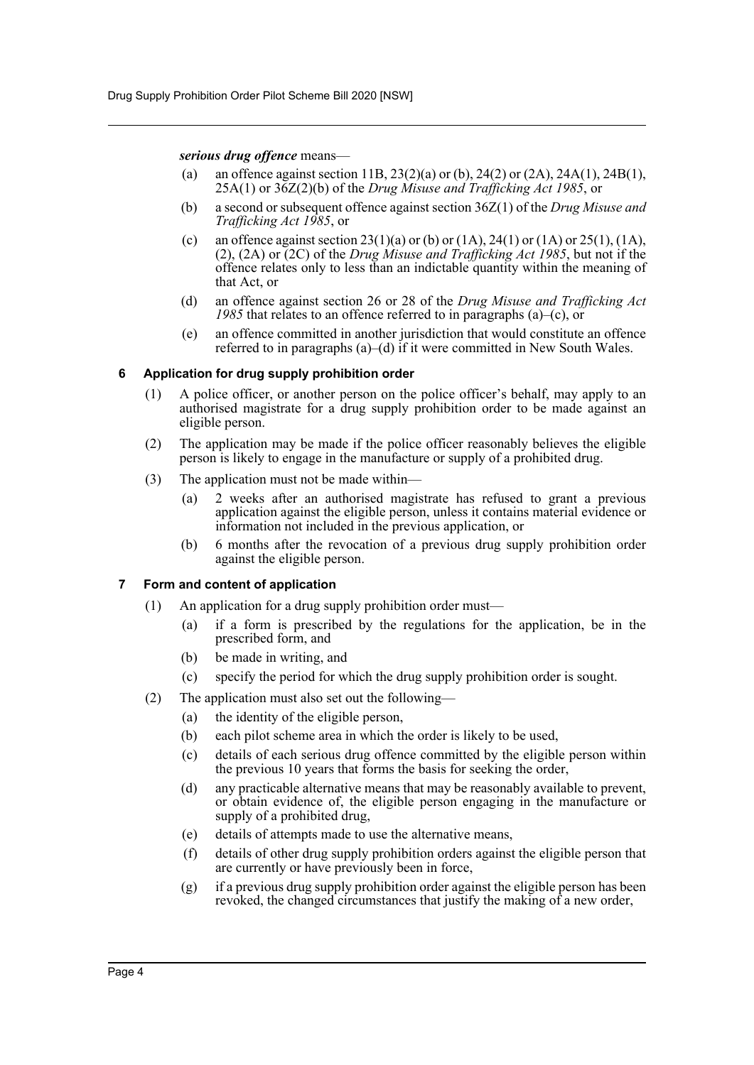#### *serious drug offence* means—

- (a) an offence against section 11B, 23(2)(a) or (b), 24(2) or (2A), 24A(1), 24B(1), 25A(1) or 36Z(2)(b) of the *Drug Misuse and Trafficking Act 1985*, or
- (b) a second or subsequent offence against section 36Z(1) of the *Drug Misuse and Trafficking Act 1985*, or
- (c) an offence against section  $23(1)(a)$  or (b) or (1A),  $24(1)$  or (1A) or  $25(1)$ , (1A), (2), (2A) or (2C) of the *Drug Misuse and Trafficking Act 1985*, but not if the offence relates only to less than an indictable quantity within the meaning of that Act, or
- (d) an offence against section 26 or 28 of the *Drug Misuse and Trafficking Act 1985* that relates to an offence referred to in paragraphs (a)–(c), or
- (e) an offence committed in another jurisdiction that would constitute an offence referred to in paragraphs (a)–(d) if it were committed in New South Wales.

#### <span id="page-4-0"></span>**6 Application for drug supply prohibition order**

- (1) A police officer, or another person on the police officer's behalf, may apply to an authorised magistrate for a drug supply prohibition order to be made against an eligible person.
- (2) The application may be made if the police officer reasonably believes the eligible person is likely to engage in the manufacture or supply of a prohibited drug.
- (3) The application must not be made within—
	- (a) 2 weeks after an authorised magistrate has refused to grant a previous application against the eligible person, unless it contains material evidence or information not included in the previous application, or
	- (b) 6 months after the revocation of a previous drug supply prohibition order against the eligible person.

#### <span id="page-4-1"></span>**7 Form and content of application**

- (1) An application for a drug supply prohibition order must—
	- (a) if a form is prescribed by the regulations for the application, be in the prescribed form, and
	- (b) be made in writing, and
	- (c) specify the period for which the drug supply prohibition order is sought.
- (2) The application must also set out the following—
	- (a) the identity of the eligible person,
	- (b) each pilot scheme area in which the order is likely to be used,
	- (c) details of each serious drug offence committed by the eligible person within the previous 10 years that forms the basis for seeking the order,
	- (d) any practicable alternative means that may be reasonably available to prevent, or obtain evidence of, the eligible person engaging in the manufacture or supply of a prohibited drug,
	- (e) details of attempts made to use the alternative means,
	- (f) details of other drug supply prohibition orders against the eligible person that are currently or have previously been in force,
	- (g) if a previous drug supply prohibition order against the eligible person has been revoked, the changed circumstances that justify the making of a new order,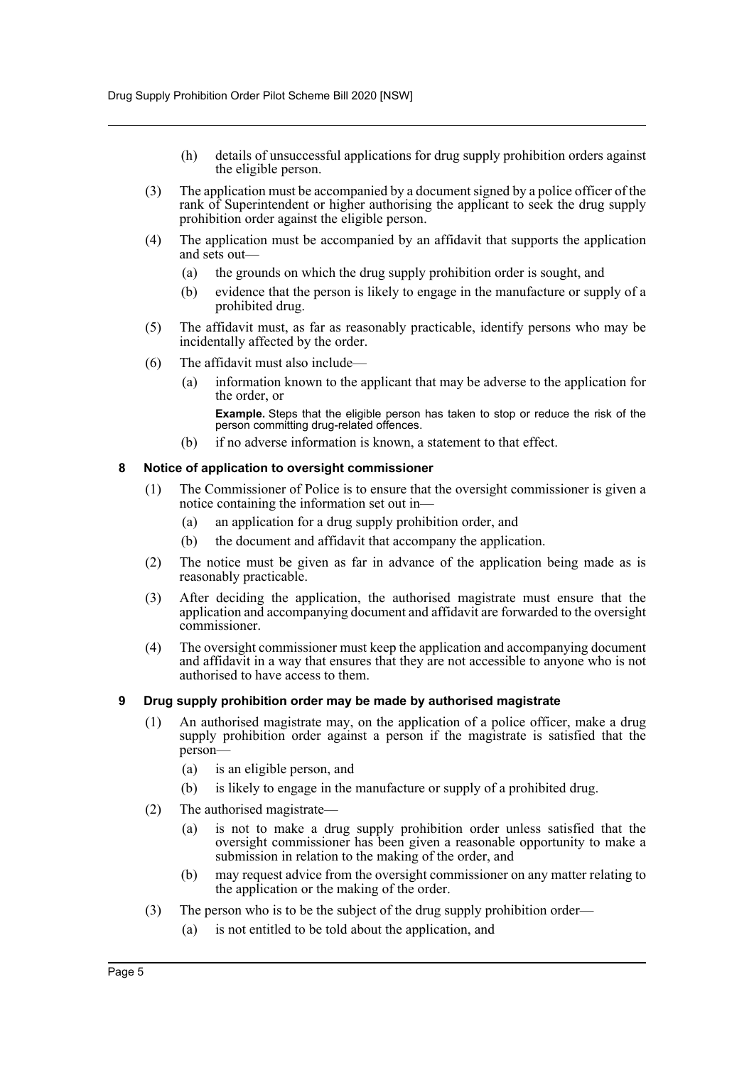- (h) details of unsuccessful applications for drug supply prohibition orders against the eligible person.
- (3) The application must be accompanied by a document signed by a police officer of the rank of Superintendent or higher authorising the applicant to seek the drug supply prohibition order against the eligible person.
- (4) The application must be accompanied by an affidavit that supports the application and sets out—
	- (a) the grounds on which the drug supply prohibition order is sought, and
	- (b) evidence that the person is likely to engage in the manufacture or supply of a prohibited drug.
- (5) The affidavit must, as far as reasonably practicable, identify persons who may be incidentally affected by the order.
- (6) The affidavit must also include—
	- (a) information known to the applicant that may be adverse to the application for the order, or

**Example.** Steps that the eligible person has taken to stop or reduce the risk of the person committing drug-related offences.

(b) if no adverse information is known, a statement to that effect.

#### <span id="page-5-0"></span>**8 Notice of application to oversight commissioner**

- (1) The Commissioner of Police is to ensure that the oversight commissioner is given a notice containing the information set out in—
	- (a) an application for a drug supply prohibition order, and
	- (b) the document and affidavit that accompany the application.
- (2) The notice must be given as far in advance of the application being made as is reasonably practicable.
- (3) After deciding the application, the authorised magistrate must ensure that the application and accompanying document and affidavit are forwarded to the oversight commissioner.
- (4) The oversight commissioner must keep the application and accompanying document and affidavit in a way that ensures that they are not accessible to anyone who is not authorised to have access to them.

#### <span id="page-5-1"></span>**9 Drug supply prohibition order may be made by authorised magistrate**

- (1) An authorised magistrate may, on the application of a police officer, make a drug supply prohibition order against a person if the magistrate is satisfied that the person—
	- (a) is an eligible person, and
	- (b) is likely to engage in the manufacture or supply of a prohibited drug.
- (2) The authorised magistrate—
	- (a) is not to make a drug supply prohibition order unless satisfied that the oversight commissioner has been given a reasonable opportunity to make a submission in relation to the making of the order, and
	- (b) may request advice from the oversight commissioner on any matter relating to the application or the making of the order.
- (3) The person who is to be the subject of the drug supply prohibition order—
	- (a) is not entitled to be told about the application, and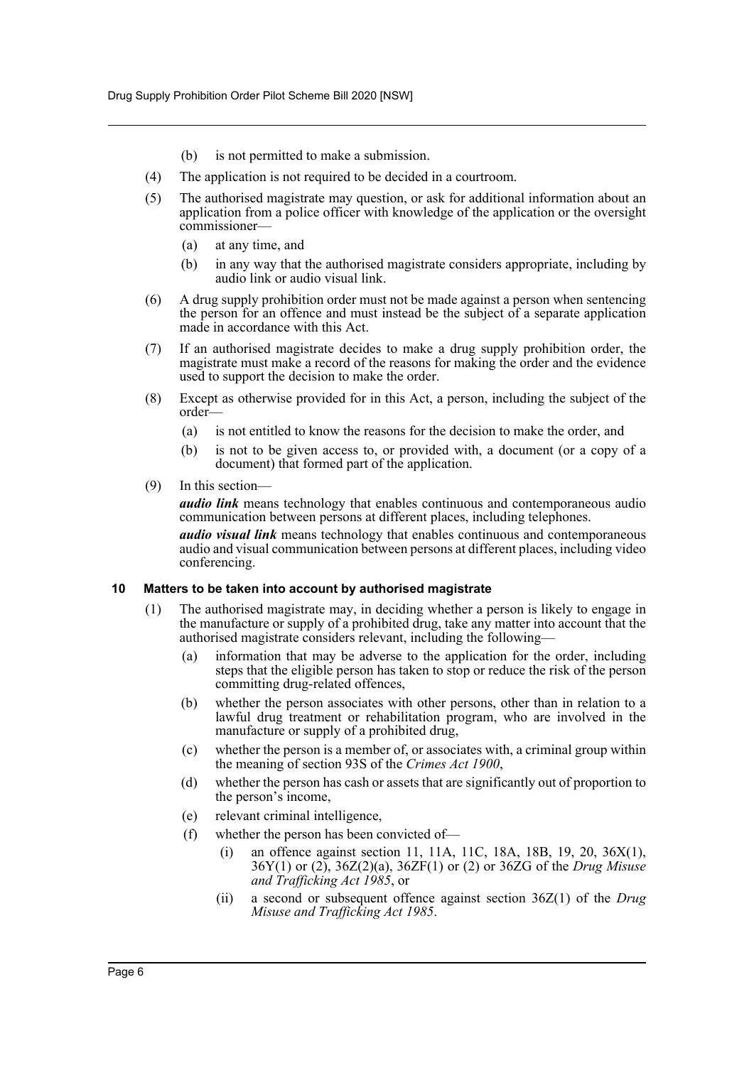- (b) is not permitted to make a submission.
- (4) The application is not required to be decided in a courtroom.
- (5) The authorised magistrate may question, or ask for additional information about an application from a police officer with knowledge of the application or the oversight commissioner—
	- (a) at any time, and
	- (b) in any way that the authorised magistrate considers appropriate, including by audio link or audio visual link.
- (6) A drug supply prohibition order must not be made against a person when sentencing the person for an offence and must instead be the subject of a separate application made in accordance with this Act.
- (7) If an authorised magistrate decides to make a drug supply prohibition order, the magistrate must make a record of the reasons for making the order and the evidence used to support the decision to make the order.
- (8) Except as otherwise provided for in this Act, a person, including the subject of the order—
	- (a) is not entitled to know the reasons for the decision to make the order, and
	- (b) is not to be given access to, or provided with, a document (or a copy of a document) that formed part of the application.
- (9) In this section—

*audio link* means technology that enables continuous and contemporaneous audio communication between persons at different places, including telephones.

*audio visual link* means technology that enables continuous and contemporaneous audio and visual communication between persons at different places, including video conferencing.

#### <span id="page-6-0"></span>**10 Matters to be taken into account by authorised magistrate**

- (1) The authorised magistrate may, in deciding whether a person is likely to engage in the manufacture or supply of a prohibited drug, take any matter into account that the authorised magistrate considers relevant, including the following—
	- (a) information that may be adverse to the application for the order, including steps that the eligible person has taken to stop or reduce the risk of the person committing drug-related offences,
	- (b) whether the person associates with other persons, other than in relation to a lawful drug treatment or rehabilitation program, who are involved in the manufacture or supply of a prohibited drug,
	- (c) whether the person is a member of, or associates with, a criminal group within the meaning of section 93S of the *Crimes Act 1900*,
	- (d) whether the person has cash or assets that are significantly out of proportion to the person's income,
	- (e) relevant criminal intelligence,
	- (f) whether the person has been convicted of—
		- (i) an offence against section 11, 11A, 11C, 18A, 18B, 19, 20, 36X(1), 36Y(1) or (2), 36Z(2)(a), 36ZF(1) or (2) or 36ZG of the *Drug Misuse and Trafficking Act 1985*, or
		- (ii) a second or subsequent offence against section 36Z(1) of the *Drug Misuse and Trafficking Act 1985*.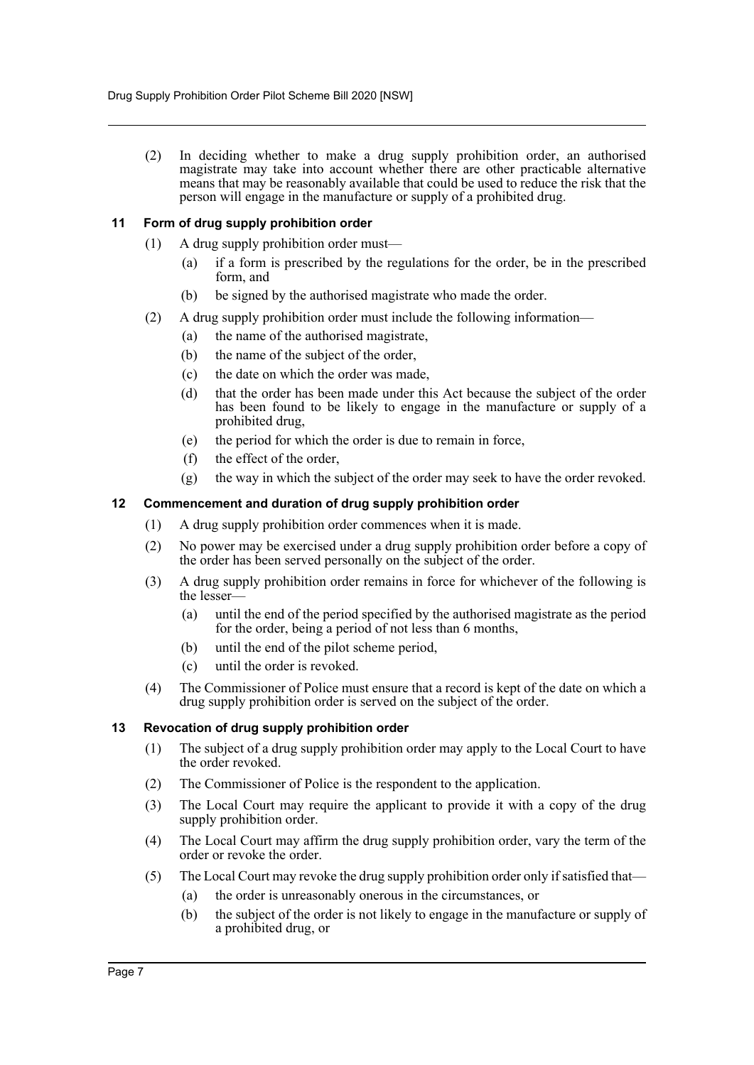(2) In deciding whether to make a drug supply prohibition order, an authorised magistrate may take into account whether there are other practicable alternative means that may be reasonably available that could be used to reduce the risk that the person will engage in the manufacture or supply of a prohibited drug.

#### <span id="page-7-0"></span>**11 Form of drug supply prohibition order**

- (1) A drug supply prohibition order must—
	- (a) if a form is prescribed by the regulations for the order, be in the prescribed form, and
	- (b) be signed by the authorised magistrate who made the order.
- (2) A drug supply prohibition order must include the following information—
	- (a) the name of the authorised magistrate,
	- (b) the name of the subject of the order,
	- (c) the date on which the order was made,
	- (d) that the order has been made under this Act because the subject of the order has been found to be likely to engage in the manufacture or supply of a prohibited drug,
	- (e) the period for which the order is due to remain in force,
	- (f) the effect of the order,
	- (g) the way in which the subject of the order may seek to have the order revoked.

#### <span id="page-7-1"></span>**12 Commencement and duration of drug supply prohibition order**

- (1) A drug supply prohibition order commences when it is made.
- (2) No power may be exercised under a drug supply prohibition order before a copy of the order has been served personally on the subject of the order.
- (3) A drug supply prohibition order remains in force for whichever of the following is the lesser—
	- (a) until the end of the period specified by the authorised magistrate as the period for the order, being a period of not less than 6 months,
	- (b) until the end of the pilot scheme period,
	- (c) until the order is revoked.
- (4) The Commissioner of Police must ensure that a record is kept of the date on which a drug supply prohibition order is served on the subject of the order.

#### <span id="page-7-2"></span>**13 Revocation of drug supply prohibition order**

- (1) The subject of a drug supply prohibition order may apply to the Local Court to have the order revoked.
- (2) The Commissioner of Police is the respondent to the application.
- (3) The Local Court may require the applicant to provide it with a copy of the drug supply prohibition order.
- (4) The Local Court may affirm the drug supply prohibition order, vary the term of the order or revoke the order.
- (5) The Local Court may revoke the drug supply prohibition order only if satisfied that—
	- (a) the order is unreasonably onerous in the circumstances, or
	- (b) the subject of the order is not likely to engage in the manufacture or supply of a prohibited drug, or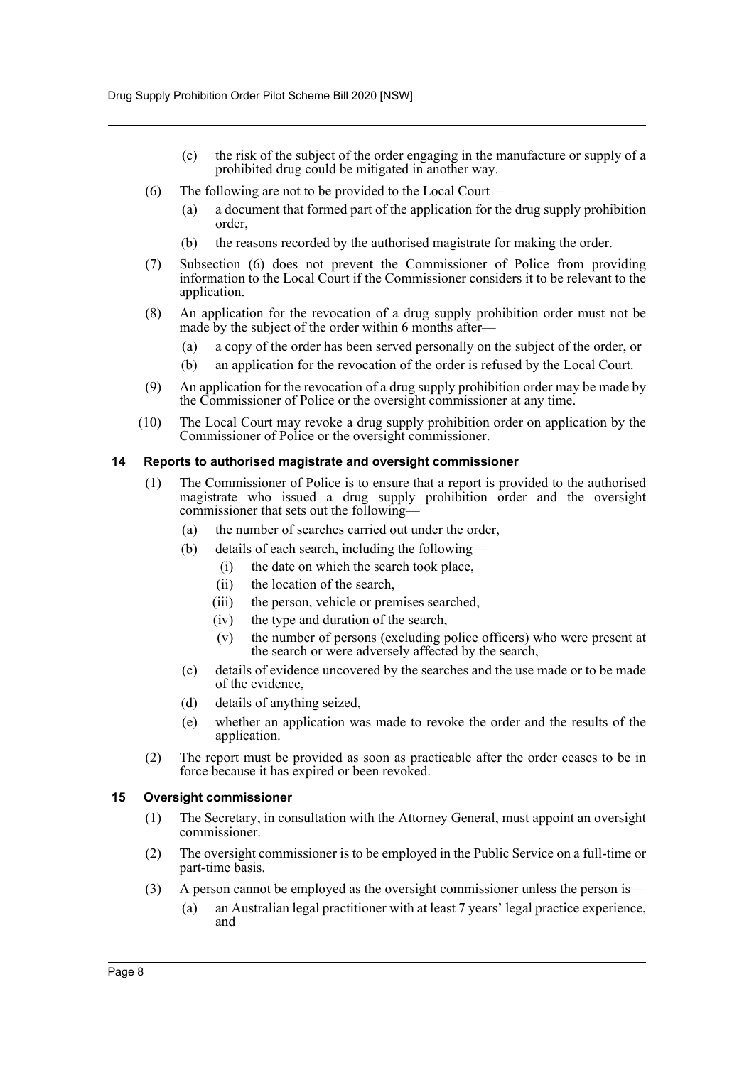- (c) the risk of the subject of the order engaging in the manufacture or supply of a prohibited drug could be mitigated in another way.
- (6) The following are not to be provided to the Local Court—
	- (a) a document that formed part of the application for the drug supply prohibition order,
	- (b) the reasons recorded by the authorised magistrate for making the order.
- (7) Subsection (6) does not prevent the Commissioner of Police from providing information to the Local Court if the Commissioner considers it to be relevant to the application.
- (8) An application for the revocation of a drug supply prohibition order must not be made by the subject of the order within 6 months after-
	- (a) a copy of the order has been served personally on the subject of the order, or
	- (b) an application for the revocation of the order is refused by the Local Court.
- (9) An application for the revocation of a drug supply prohibition order may be made by the Commissioner of Police or the oversight commissioner at any time.
- (10) The Local Court may revoke a drug supply prohibition order on application by the Commissioner of Police or the oversight commissioner.

#### <span id="page-8-0"></span>**14 Reports to authorised magistrate and oversight commissioner**

- (1) The Commissioner of Police is to ensure that a report is provided to the authorised magistrate who issued a drug supply prohibition order and the oversight commissioner that sets out the following—
	- (a) the number of searches carried out under the order,
	- (b) details of each search, including the following—
		- (i) the date on which the search took place,
		- (ii) the location of the search,
		- (iii) the person, vehicle or premises searched,
		- (iv) the type and duration of the search,
		- (v) the number of persons (excluding police officers) who were present at the search or were adversely affected by the search,
	- (c) details of evidence uncovered by the searches and the use made or to be made of the evidence,
	- (d) details of anything seized,
	- (e) whether an application was made to revoke the order and the results of the application.
- (2) The report must be provided as soon as practicable after the order ceases to be in force because it has expired or been revoked.

#### <span id="page-8-1"></span>**15 Oversight commissioner**

- (1) The Secretary, in consultation with the Attorney General, must appoint an oversight commissioner.
- (2) The oversight commissioner is to be employed in the Public Service on a full-time or part-time basis.
- (3) A person cannot be employed as the oversight commissioner unless the person is—
	- (a) an Australian legal practitioner with at least 7 years' legal practice experience, and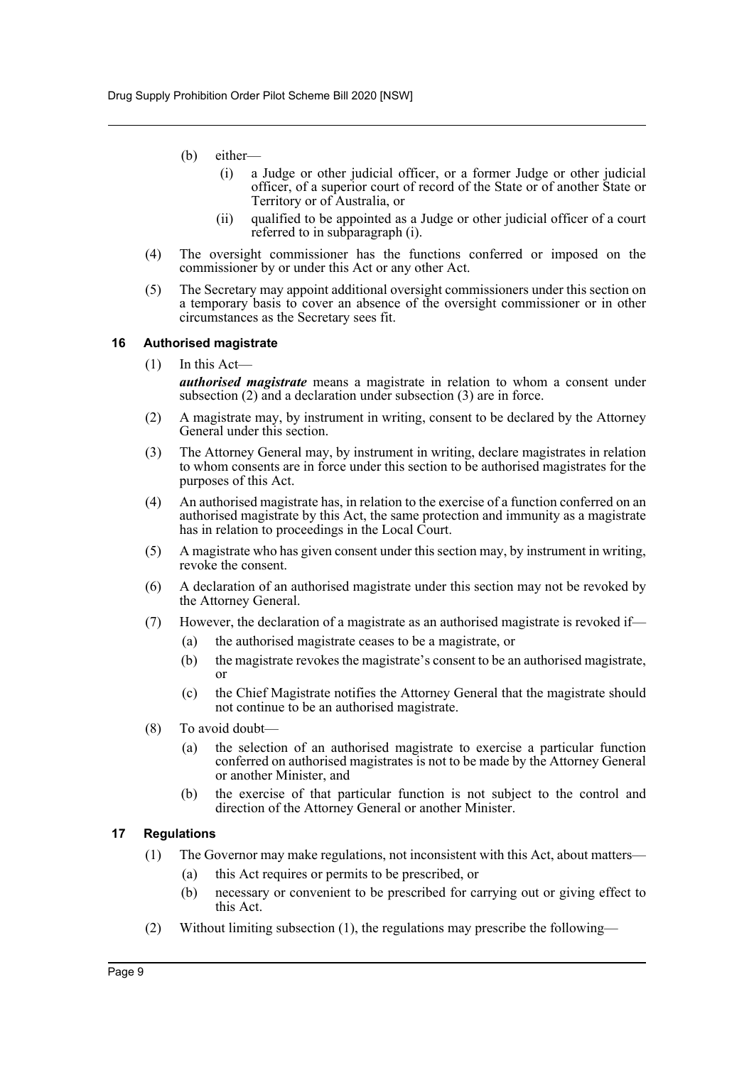- (b) either—
	- (i) a Judge or other judicial officer, or a former Judge or other judicial officer, of a superior court of record of the State or of another State or Territory or of Australia, or
	- (ii) qualified to be appointed as a Judge or other judicial officer of a court referred to in subparagraph (i).
- (4) The oversight commissioner has the functions conferred or imposed on the commissioner by or under this Act or any other Act.
- (5) The Secretary may appoint additional oversight commissioners under this section on a temporary basis to cover an absence of the oversight commissioner or in other circumstances as the Secretary sees fit.

#### <span id="page-9-0"></span>**16 Authorised magistrate**

 $(1)$  In this Act—

*authorised magistrate* means a magistrate in relation to whom a consent under subsection (2) and a declaration under subsection (3) are in force.

- (2) A magistrate may, by instrument in writing, consent to be declared by the Attorney General under this section.
- (3) The Attorney General may, by instrument in writing, declare magistrates in relation to whom consents are in force under this section to be authorised magistrates for the purposes of this Act.
- (4) An authorised magistrate has, in relation to the exercise of a function conferred on an authorised magistrate by this Act, the same protection and immunity as a magistrate has in relation to proceedings in the Local Court.
- (5) A magistrate who has given consent under this section may, by instrument in writing, revoke the consent.
- (6) A declaration of an authorised magistrate under this section may not be revoked by the Attorney General.
- (7) However, the declaration of a magistrate as an authorised magistrate is revoked if—
	- (a) the authorised magistrate ceases to be a magistrate, or
	- (b) the magistrate revokes the magistrate's consent to be an authorised magistrate, or
	- (c) the Chief Magistrate notifies the Attorney General that the magistrate should not continue to be an authorised magistrate.
- (8) To avoid doubt—
	- (a) the selection of an authorised magistrate to exercise a particular function conferred on authorised magistrates is not to be made by the Attorney General or another Minister, and
	- (b) the exercise of that particular function is not subject to the control and direction of the Attorney General or another Minister.

#### <span id="page-9-1"></span>**17 Regulations**

- (1) The Governor may make regulations, not inconsistent with this Act, about matters—
	- (a) this Act requires or permits to be prescribed, or
	- (b) necessary or convenient to be prescribed for carrying out or giving effect to this Act.
- (2) Without limiting subsection (1), the regulations may prescribe the following—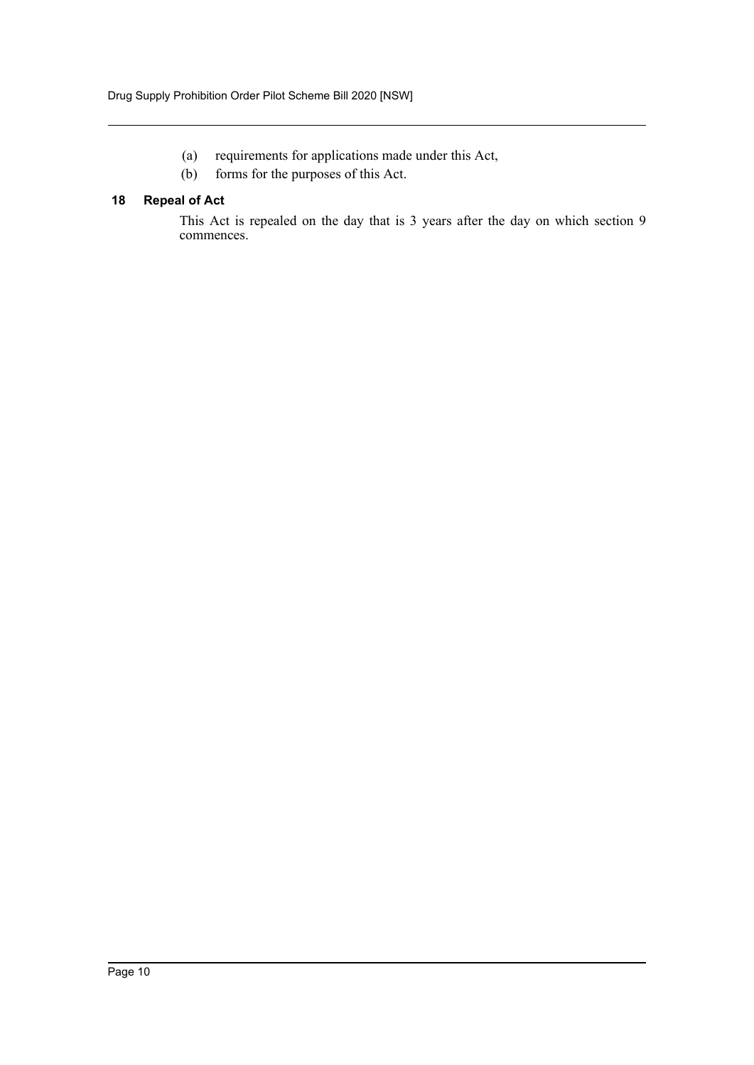- (a) requirements for applications made under this Act,
- (b) forms for the purposes of this Act.

#### <span id="page-10-0"></span>**18 Repeal of Act**

This Act is repealed on the day that is 3 years after the day on which section 9 commences.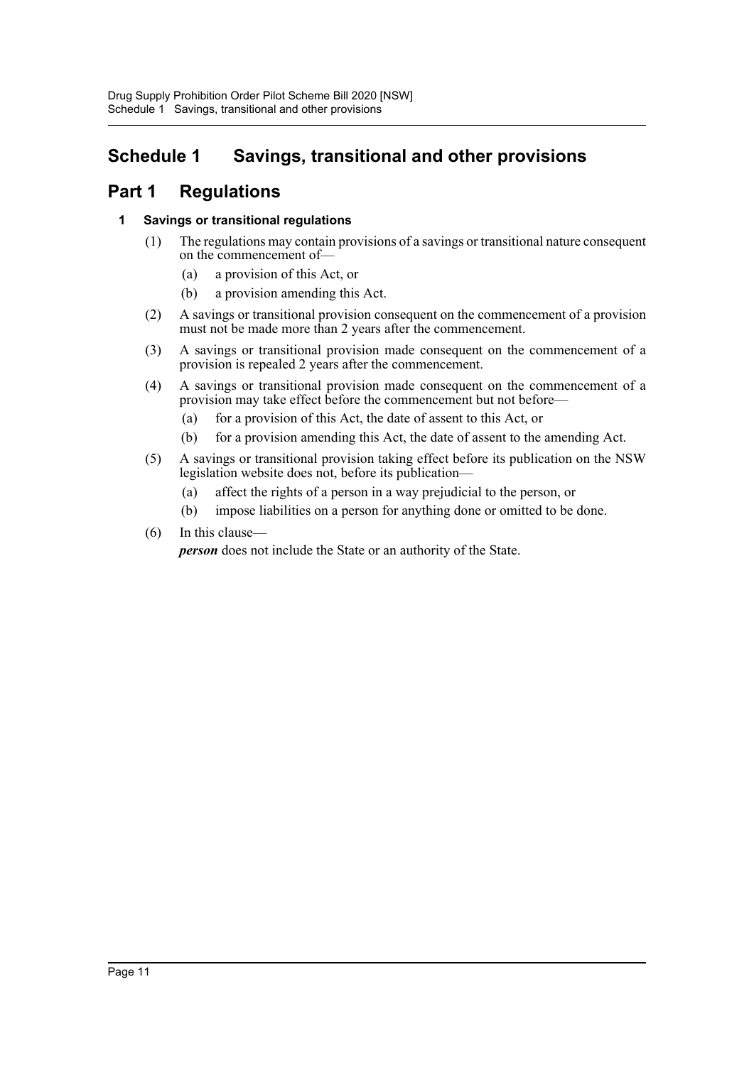## <span id="page-11-0"></span>**Schedule 1 Savings, transitional and other provisions**

### **Part 1 Regulations**

#### **1 Savings or transitional regulations**

- (1) The regulations may contain provisions of a savings or transitional nature consequent on the commencement of—
	- (a) a provision of this Act, or
	- (b) a provision amending this Act.
- (2) A savings or transitional provision consequent on the commencement of a provision must not be made more than 2 years after the commencement.
- (3) A savings or transitional provision made consequent on the commencement of a provision is repealed 2 years after the commencement.
- (4) A savings or transitional provision made consequent on the commencement of a provision may take effect before the commencement but not before—
	- (a) for a provision of this Act, the date of assent to this Act, or
	- (b) for a provision amending this Act, the date of assent to the amending Act.
- (5) A savings or transitional provision taking effect before its publication on the NSW legislation website does not, before its publication—
	- (a) affect the rights of a person in a way prejudicial to the person, or
	- (b) impose liabilities on a person for anything done or omitted to be done.

#### (6) In this clause—

*person* does not include the State or an authority of the State.